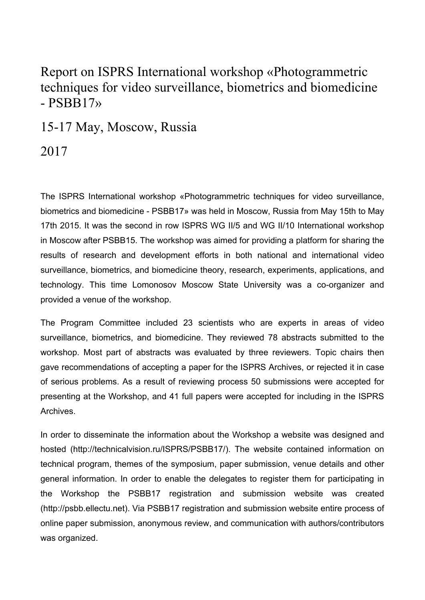## Report on ISPRS International workshop «Photogrammetric techniques for video surveillance, biometrics and biomedicine  $-$  PSBB17 $\rightarrow$

15-17 May, Moscow, Russia

2017

The ISPRS International workshop «Photogrammetric techniques for video surveillance, biometrics and biomedicine - PSBB17» was held in Moscow, Russia from May 15th to May 17th 2015. It was the second in row ISPRS WG II/5 and WG II/10 International workshop in Moscow after PSBB15. The workshop was aimed for providing a platform for sharing the results of research and development efforts in both national and international video surveillance, biometrics, and biomedicine theory, research, experiments, applications, and technology. This time Lomonosov Moscow State University was a co-organizer and provided a venue of the workshop.

The Program Committee included 23 scientists who are experts in areas of video surveillance, biometrics, and biomedicine. They reviewed 78 abstracts submitted to the workshop. Most part of abstracts was evaluated by three reviewers. Topic chairs then gave recommendations of accepting a paper for the ISPRS Archives, or rejected it in case of serious problems. As a result of reviewing process 50 submissions were accepted for presenting at the Workshop, and 41 full papers were accepted for including in the ISPRS **Archives** 

In order to disseminate the information about the Workshop a website was designed and hosted (http://technicalvision.ru/ISPRS/PSBB17/). The website contained information on technical program, themes of the symposium, paper submission, venue details and other general information. In order to enable the delegates to register them for participating in the Workshop the PSBB17 registration and submission website was created (http://psbb.ellectu.net). Via PSBB17 registration and submission website entire process of online paper submission, anonymous review, and communication with authors/contributors was organized.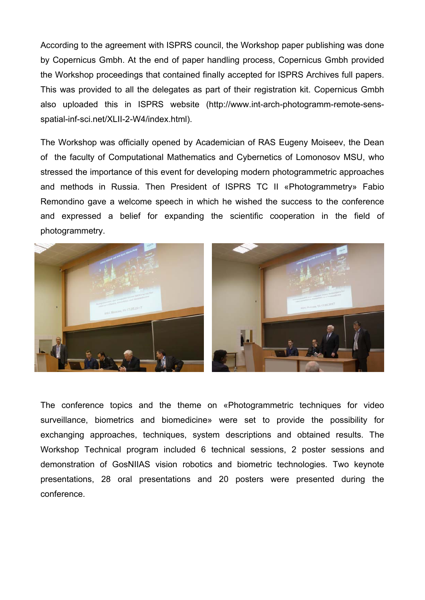According to the agreement with ISPRS council, the Workshop paper publishing was done by Copernicus Gmbh. At the end of paper handling process, Copernicus Gmbh provided the Workshop proceedings that contained finally accepted for ISPRS Archives full papers. This was provided to all the delegates as part of their registration kit. Copernicus Gmbh also uploaded this in ISPRS website (http://www.int-arch-photogramm-remote-sensspatial-inf-sci.net/XLII-2-W4/index.html).

The Workshop was officially opened by Academician of RAS Eugeny Moiseev, the Dean of the faculty of Computational Mathematics and Cybernetics of Lomonosov MSU, who stressed the importance of this event for developing modern photogrammetric approaches and methods in Russia. Then President of ISPRS TC II «Photogrammetry» Fabio Remondino gave a welcome speech in which he wished the success to the conference and expressed a belief for expanding the scientific cooperation in the field of photogrammetry.



The conference topics and the theme on «Photogrammetric techniques for video surveillance, biometrics and biomedicine» were set to provide the possibility for exchanging approaches, techniques, system descriptions and obtained results. The Workshop Technical program included 6 technical sessions, 2 poster sessions and demonstration of GosNIIAS vision robotics and biometric technologies. Two keynote presentations, 28 oral presentations and 20 posters were presented during the conference.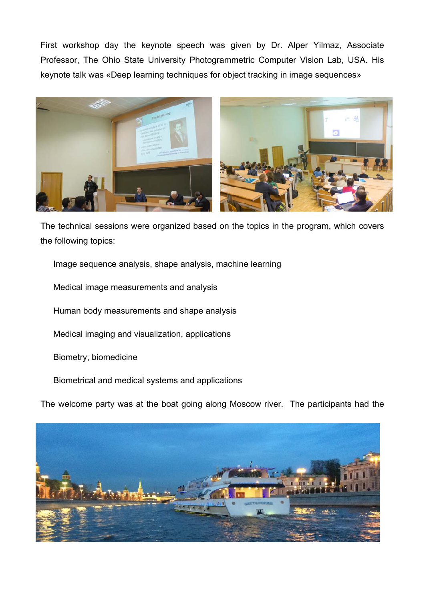First workshop day the keynote speech was given by Dr. Alper Yilmaz, Associate Professor, The Ohio State University Photogrammetric Computer Vision Lab, USA. His keynote talk was «Deep learning techniques for object tracking in image sequences»



The technical sessions were organized based on the topics in the program, which covers the following topics:

Image sequence analysis, shape analysis, machine learning

Medical image measurements and analysis

Human body measurements and shape analysis

Medical imaging and visualization, applications

Biometry, biomedicine

Biometrical and medical systems and applications

The welcome party was at the boat going along Moscow river. The participants had the

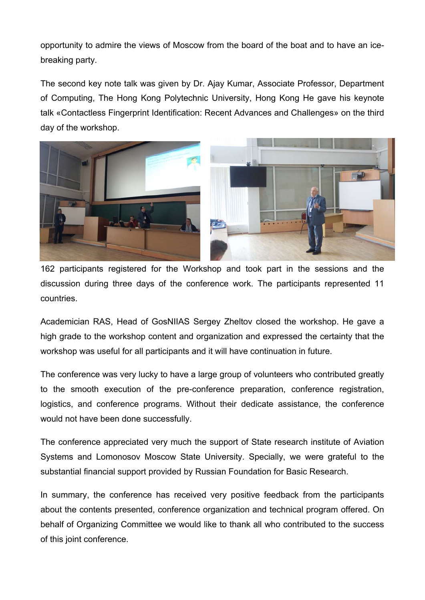opportunity to admire the views of Moscow from the board of the boat and to have an icebreaking party.

The second key note talk was given by Dr. Ajay Kumar, Associate Professor, Department of Computing, The Hong Kong Polytechnic University, Hong Kong He gave his keynote talk «Contactless Fingerprint Identification: Recent Advances and Challenges» on the third day of the workshop.



162 participants registered for the Workshop and took part in the sessions and the discussion during three days of the conference work. The participants represented 11 countries.

Academician RAS, Head of GosNIIAS Sergey Zheltov closed the workshop. He gave a high grade to the workshop content and organization and expressed the certainty that the workshop was useful for all participants and it will have continuation in future.

The conference was very lucky to have a large group of volunteers who contributed greatly to the smooth execution of the pre-conference preparation, conference registration, logistics, and conference programs. Without their dedicate assistance, the conference would not have been done successfully.

The conference appreciated very much the support of State research institute of Aviation Systems and Lomonosov Moscow State University. Specially, we were grateful to the substantial financial support provided by Russian Foundation for Basic Research.

In summary, the conference has received very positive feedback from the participants about the contents presented, conference organization and technical program offered. On behalf of Organizing Committee we would like to thank all who contributed to the success of this joint conference.